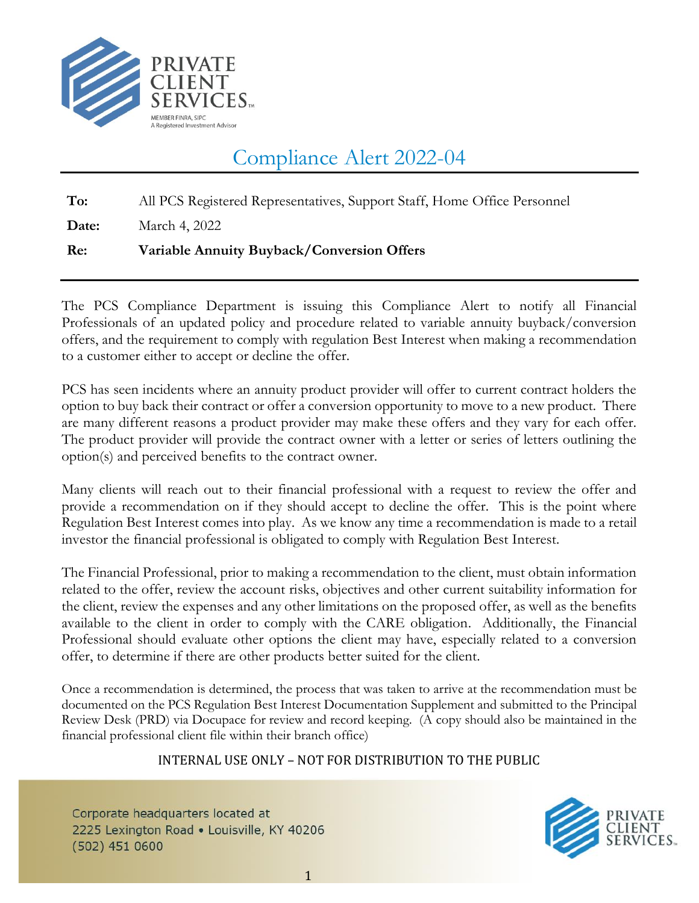

# Compliance Alert 2022-04

**To:** All PCS Registered Representatives, Support Staff, Home Office Personnel

**Date:** March 4, 2022

## **Re: Variable Annuity Buyback/Conversion Offers**

The PCS Compliance Department is issuing this Compliance Alert to notify all Financial Professionals of an updated policy and procedure related to variable annuity buyback/conversion offers, and the requirement to comply with regulation Best Interest when making a recommendation to a customer either to accept or decline the offer.

PCS has seen incidents where an annuity product provider will offer to current contract holders the option to buy back their contract or offer a conversion opportunity to move to a new product. There are many different reasons a product provider may make these offers and they vary for each offer. The product provider will provide the contract owner with a letter or series of letters outlining the option(s) and perceived benefits to the contract owner.

Many clients will reach out to their financial professional with a request to review the offer and provide a recommendation on if they should accept to decline the offer. This is the point where Regulation Best Interest comes into play. As we know any time a recommendation is made to a retail investor the financial professional is obligated to comply with Regulation Best Interest.

The Financial Professional, prior to making a recommendation to the client, must obtain information related to the offer, review the account risks, objectives and other current suitability information for the client, review the expenses and any other limitations on the proposed offer, as well as the benefits available to the client in order to comply with the CARE obligation. Additionally, the Financial Professional should evaluate other options the client may have, especially related to a conversion offer, to determine if there are other products better suited for the client.

Once a recommendation is determined, the process that was taken to arrive at the recommendation must be documented on the PCS Regulation Best Interest Documentation Supplement and submitted to the Principal Review Desk (PRD) via Docupace for review and record keeping. (A copy should also be maintained in the financial professional client file within their branch office)

### INTERNAL USE ONLY – NOT FOR DISTRIBUTION TO THE PUBLIC

Corporate headquarters located at 2225 Lexington Road . Louisville, KY 40206  $(502)$  451 0600